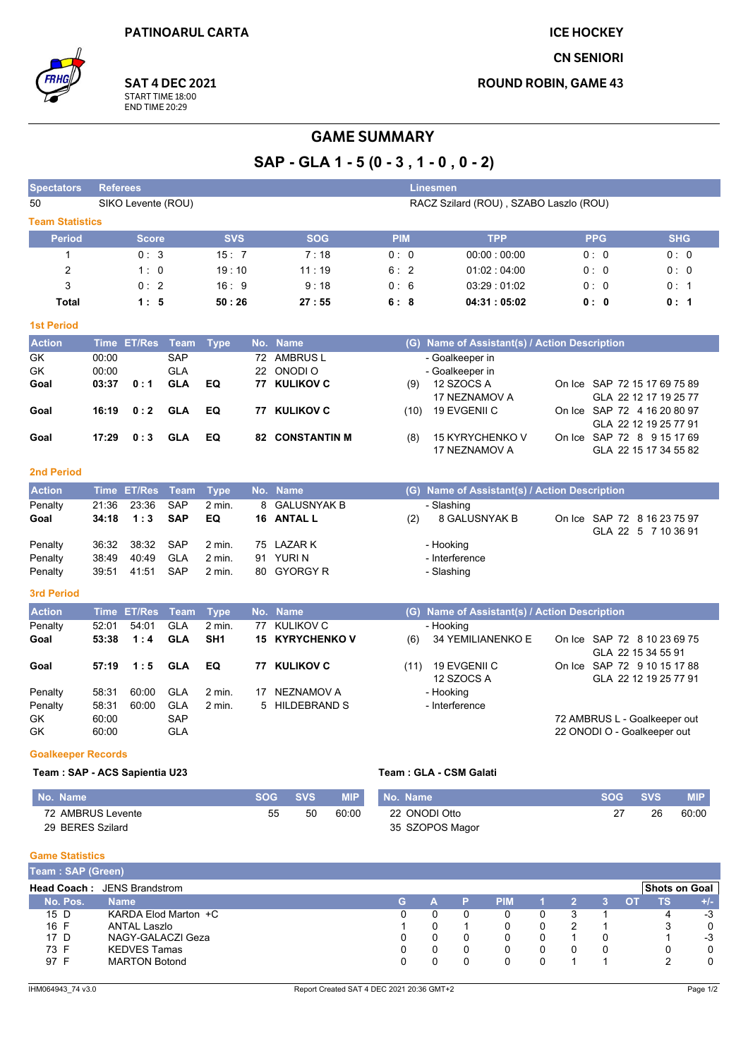**ICE HOCKEY** 

**CN SENIORI** 

**ROUND ROBIN, GAME 43** 



**SAT 4 DEC 2021** START TIME 18:00<br>END TIME 20:29

### **GAME SUMMARY**

# SAP - GLA 1 - 5 (0 - 3, 1 - 0, 0 - 2)

| <b>Spectators</b>             |                | <b>Referees</b><br><b>Linesmen</b>                           |                          |                           |            |                          |            |                                               |                              |                       |            |
|-------------------------------|----------------|--------------------------------------------------------------|--------------------------|---------------------------|------------|--------------------------|------------|-----------------------------------------------|------------------------------|-----------------------|------------|
| 50                            |                | SIKO Levente (ROU)<br>RACZ Szilard (ROU), SZABO Laszlo (ROU) |                          |                           |            |                          |            |                                               |                              |                       |            |
| <b>Team Statistics</b>        |                |                                                              |                          |                           |            |                          |            |                                               |                              |                       |            |
| <b>Period</b>                 |                | <b>Score</b>                                                 |                          | <b>SVS</b>                |            | <b>SOG</b>               | <b>PIM</b> | <b>TPP</b>                                    | <b>PPG</b>                   |                       | <b>SHG</b> |
| 1                             |                | 0:3                                                          |                          | 15:7                      |            | 7:18                     | 0:0        | 00:00:00:00                                   | 0: 0                         |                       | 0:0        |
| $\overline{2}$                |                | 1:0                                                          |                          | 19:10                     |            | 11:19                    | 6:2        | 01:02:04:00                                   | 0: 0                         |                       | 0: 0       |
| 3                             |                | 0:2                                                          |                          | 16:9                      |            | 9:18                     | 0:6        | 03:29 01:02                                   | 0:0                          |                       | 0: 1       |
| <b>Total</b>                  |                | 1:5                                                          |                          | 50:26                     |            | 27:55                    | 6:8        | 04:31:05:02                                   | 0:0                          |                       | 0: 1       |
| <b>1st Period</b>             |                |                                                              |                          |                           |            |                          |            |                                               |                              |                       |            |
| <b>Action</b>                 |                | Time ET/Res Team                                             |                          | <b>Type</b>               |            | No. Name                 |            | (G) Name of Assistant(s) / Action Description |                              |                       |            |
| GK                            | 00:00          |                                                              | <b>SAP</b>               |                           | 72         | <b>AMBRUS L</b>          |            | - Goalkeeper in                               |                              |                       |            |
| GK                            | 00:00          |                                                              | <b>GLA</b>               |                           | 22         | ONODI O                  |            | - Goalkeeper in                               |                              |                       |            |
| Goal                          | 03:37          | 0:1                                                          | <b>GLA</b>               | EQ                        |            | 77 KULIKOV C             | (9)        | 12 SZOCS A                                    | On Ice SAP 72 15 17 69 75 89 |                       |            |
|                               |                |                                                              |                          |                           |            |                          |            | 17 NEZNAMOV A                                 |                              | GLA 22 12 17 19 25 77 |            |
| Goal                          | 16:19          | 0:2                                                          | <b>GLA</b>               | EQ                        | 77         | <b>KULIKOV C</b>         | (10)       | 19 EVGENII C                                  | On Ice SAP 72 4 16 20 80 97  |                       |            |
|                               |                |                                                              |                          |                           |            |                          |            |                                               |                              | GLA 22 12 19 25 77 91 |            |
| Goal                          | 17:29          | 0:3                                                          | <b>GLA</b>               | EQ                        |            | <b>82 CONSTANTIN M</b>   | (8)        | 15 KYRYCHENKO V<br>17 NEZNAMOV A              | On Ice SAP 72 8 9 15 17 69   | GLA 22 15 17 34 55 82 |            |
|                               |                |                                                              |                          |                           |            |                          |            |                                               |                              |                       |            |
| <b>2nd Period</b>             |                |                                                              |                          |                           |            |                          |            |                                               |                              |                       |            |
| <b>Action</b>                 |                | Time ET/Res                                                  | <b>Team</b>              | <b>Type</b>               |            | No. Name                 |            | (G) Name of Assistant(s) / Action Description |                              |                       |            |
| Penalty                       | 21:36          | 23:36                                                        | <b>SAP</b>               | 2 min.                    |            | 8 GALUSNYAK B            |            | - Slashing                                    |                              |                       |            |
| Goal                          | 34:18          | 1:3                                                          | <b>SAP</b>               | EQ                        |            | 16 ANTAL L               | (2)        | 8 GALUSNYAK B                                 | On Ice SAP 72 8 16 23 75 97  |                       |            |
|                               |                |                                                              |                          |                           |            |                          |            |                                               |                              | GLA 22 5 7 10 36 91   |            |
| Penalty<br>Penalty            | 36:32<br>38:49 | 38:32<br>40:49                                               | <b>SAP</b><br><b>GLA</b> | 2 min.<br>2 min.          | 75<br>91   | LAZAR K<br>YURI N        |            | - Hooking<br>- Interference                   |                              |                       |            |
| Penalty                       | 39:51          | 41:51                                                        | <b>SAP</b>               | 2 min.                    | 80         | <b>GYORGY R</b>          |            | - Slashing                                    |                              |                       |            |
|                               |                |                                                              |                          |                           |            |                          |            |                                               |                              |                       |            |
| <b>3rd Period</b>             |                |                                                              |                          |                           |            |                          |            |                                               |                              |                       |            |
| <b>Action</b>                 |                | Time ET/Res                                                  | <b>Team</b>              | <b>Type</b>               |            | No. Name                 |            | (G) Name of Assistant(s) / Action Description |                              |                       |            |
| Penalty                       | 52:01          | 54:01                                                        | <b>GLA</b><br><b>GLA</b> | 2 min.<br>SH <sub>1</sub> | 77         | <b>KULIKOV C</b>         |            | - Hooking                                     |                              |                       |            |
| Goal                          | 53:38          | 1:4                                                          |                          |                           |            | <b>15 KYRYCHENKOV</b>    | (6)        | 34 YEMILIANENKO E                             | On Ice SAP 72 8 10 23 69 75  | GLA 22 15 34 55 91    |            |
| Goal                          | 57:19          | 1:5                                                          | <b>GLA</b>               | EQ                        |            | 77 KULIKOV C             | (11)       | 19 EVGENII C                                  | On Ice SAP 72 9 10 15 17 88  |                       |            |
|                               |                |                                                              |                          |                           |            |                          |            | 12 SZOCS A                                    |                              | GLA 22 12 19 25 77 91 |            |
| Penalty                       | 58:31          | 60.00                                                        | <b>GLA</b>               | 2 min.                    | 17         | <b>NEZNAMOV A</b>        |            | - Hooking                                     |                              |                       |            |
| Penalty                       | 58:31          | 60:00                                                        | <b>GLA</b>               | 2 min.                    | 5          | <b>HILDEBRAND S</b>      |            | - Interference                                |                              |                       |            |
| GK                            | 60.00          |                                                              | <b>SAP</b>               |                           |            |                          |            |                                               | 72 AMBRUS L - Goalkeeper out |                       |            |
| GK                            | 60:00          |                                                              | GLA                      |                           |            |                          |            |                                               | 22 ONODI O - Goalkeeper out  |                       |            |
| <b>Goalkeeper Records</b>     |                |                                                              |                          |                           |            |                          |            |                                               |                              |                       |            |
| Team: SAP - ACS Sapientia U23 |                |                                                              |                          |                           |            |                          |            | Team: GLA - CSM Galati                        |                              |                       |            |
| No. Name                      |                |                                                              |                          |                           | <b>SOG</b> | <b>SVS</b><br><b>MIP</b> | No. Name   |                                               | <b>SOG</b>                   | <b>SVS</b>            | <b>MIP</b> |
| 72 AMBRUS Levente             |                |                                                              |                          |                           |            | 55<br>50<br>60:00        |            | 22 ONODI Otto                                 | 27                           | 26                    | 60:00      |
| 29 BERES Szilard              |                |                                                              |                          |                           |            |                          |            | 35 SZOPOS Magor                               |                              |                       |            |
|                               |                |                                                              |                          |                           |            |                          |            |                                               |                              |                       |            |
| <b>Game Statistics</b>        |                |                                                              |                          |                           |            |                          |            |                                               |                              |                       |            |

| Team: SAP (Green) |                                    |   |   |            |  |  |                      |       |
|-------------------|------------------------------------|---|---|------------|--|--|----------------------|-------|
|                   | <b>Head Coach: JENS Brandstrom</b> |   |   |            |  |  | <b>Shots on Goal</b> |       |
| No. Pos.          | <b>Name</b>                        | G | А | <b>PIM</b> |  |  | тs                   | $+/-$ |
| 15 D              | KARDA Elod Marton +C               |   |   |            |  |  |                      | -3    |
| 16 F              | ANTAL Laszlo                       |   |   |            |  |  |                      | 0     |
| 17 D              | NAGY-GALACZI Geza                  |   |   |            |  |  |                      | $-3$  |
| 73 F              | <b>KEDVES Tamas</b>                |   |   |            |  |  |                      | 0     |
| 97 F              | <b>MARTON Botond</b>               |   |   |            |  |  |                      | 0     |